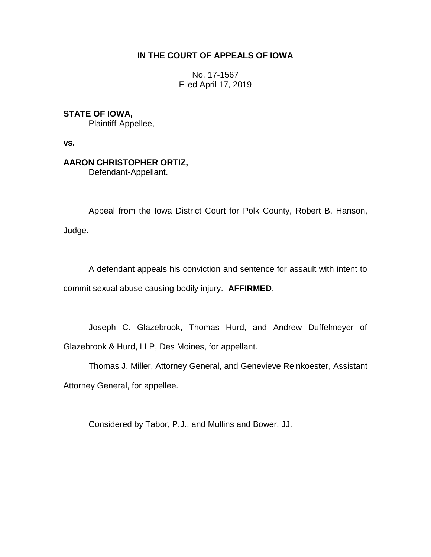# **IN THE COURT OF APPEALS OF IOWA**

No. 17-1567 Filed April 17, 2019

**STATE OF IOWA,**

Plaintiff-Appellee,

**vs.**

# **AARON CHRISTOPHER ORTIZ,**

Defendant-Appellant.

Appeal from the Iowa District Court for Polk County, Robert B. Hanson, Judge.

\_\_\_\_\_\_\_\_\_\_\_\_\_\_\_\_\_\_\_\_\_\_\_\_\_\_\_\_\_\_\_\_\_\_\_\_\_\_\_\_\_\_\_\_\_\_\_\_\_\_\_\_\_\_\_\_\_\_\_\_\_\_\_\_

A defendant appeals his conviction and sentence for assault with intent to commit sexual abuse causing bodily injury. **AFFIRMED**.

Joseph C. Glazebrook, Thomas Hurd, and Andrew Duffelmeyer of Glazebrook & Hurd, LLP, Des Moines, for appellant.

Thomas J. Miller, Attorney General, and Genevieve Reinkoester, Assistant Attorney General, for appellee.

Considered by Tabor, P.J., and Mullins and Bower, JJ.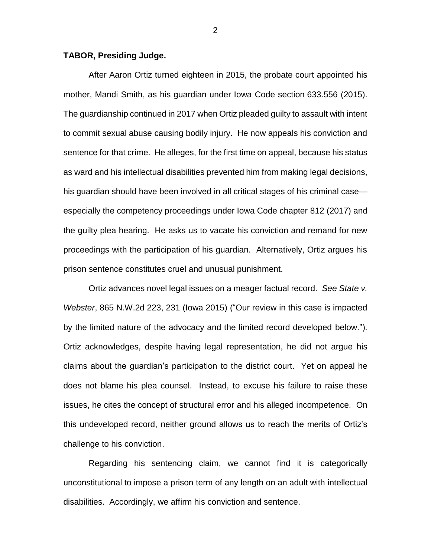#### **TABOR, Presiding Judge.**

After Aaron Ortiz turned eighteen in 2015, the probate court appointed his mother, Mandi Smith, as his guardian under Iowa Code section 633.556 (2015). The guardianship continued in 2017 when Ortiz pleaded guilty to assault with intent to commit sexual abuse causing bodily injury. He now appeals his conviction and sentence for that crime. He alleges, for the first time on appeal, because his status as ward and his intellectual disabilities prevented him from making legal decisions, his guardian should have been involved in all critical stages of his criminal case especially the competency proceedings under Iowa Code chapter 812 (2017) and the guilty plea hearing. He asks us to vacate his conviction and remand for new proceedings with the participation of his guardian. Alternatively, Ortiz argues his prison sentence constitutes cruel and unusual punishment.

Ortiz advances novel legal issues on a meager factual record. *See State v. Webster*, 865 N.W.2d 223, 231 (Iowa 2015) ("Our review in this case is impacted by the limited nature of the advocacy and the limited record developed below."). Ortiz acknowledges, despite having legal representation, he did not argue his claims about the guardian's participation to the district court. Yet on appeal he does not blame his plea counsel. Instead, to excuse his failure to raise these issues, he cites the concept of structural error and his alleged incompetence. On this undeveloped record, neither ground allows us to reach the merits of Ortiz's challenge to his conviction.

Regarding his sentencing claim, we cannot find it is categorically unconstitutional to impose a prison term of any length on an adult with intellectual disabilities. Accordingly, we affirm his conviction and sentence.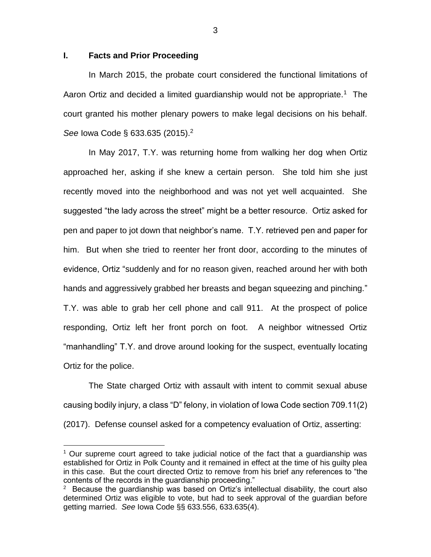# **I. Facts and Prior Proceeding**

 $\overline{a}$ 

In March 2015, the probate court considered the functional limitations of Aaron Ortiz and decided a limited guardianship would not be appropriate.<sup>1</sup> The court granted his mother plenary powers to make legal decisions on his behalf. *See* Iowa Code § 633.635 (2015). 2

In May 2017, T.Y. was returning home from walking her dog when Ortiz approached her, asking if she knew a certain person. She told him she just recently moved into the neighborhood and was not yet well acquainted. She suggested "the lady across the street" might be a better resource. Ortiz asked for pen and paper to jot down that neighbor's name. T.Y. retrieved pen and paper for him. But when she tried to reenter her front door, according to the minutes of evidence, Ortiz "suddenly and for no reason given, reached around her with both hands and aggressively grabbed her breasts and began squeezing and pinching." T.Y. was able to grab her cell phone and call 911. At the prospect of police responding, Ortiz left her front porch on foot. A neighbor witnessed Ortiz "manhandling" T.Y. and drove around looking for the suspect, eventually locating Ortiz for the police.

The State charged Ortiz with assault with intent to commit sexual abuse causing bodily injury, a class "D" felony, in violation of Iowa Code section 709.11(2) (2017). Defense counsel asked for a competency evaluation of Ortiz, asserting:

 $<sup>1</sup>$  Our supreme court agreed to take judicial notice of the fact that a guardianship was</sup> established for Ortiz in Polk County and it remained in effect at the time of his guilty plea in this case. But the court directed Ortiz to remove from his brief any references to "the contents of the records in the guardianship proceeding."

 $2$  Because the guardianship was based on Ortiz's intellectual disability, the court also determined Ortiz was eligible to vote, but had to seek approval of the guardian before getting married. *See* Iowa Code §§ 633.556, 633.635(4).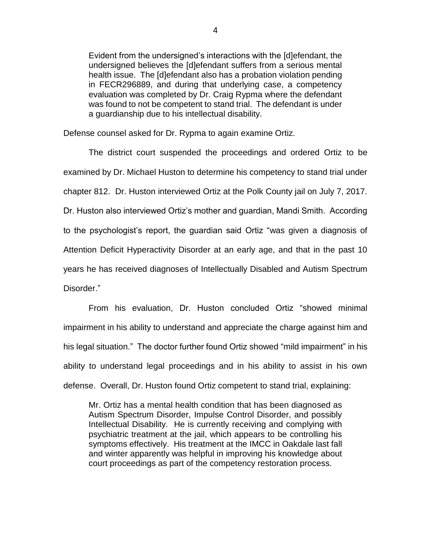Evident from the undersigned's interactions with the [d]efendant, the undersigned believes the [d]efendant suffers from a serious mental health issue. The [d]efendant also has a probation violation pending in FECR296889, and during that underlying case, a competency evaluation was completed by Dr. Craig Rypma where the defendant was found to not be competent to stand trial. The defendant is under a guardianship due to his intellectual disability.

Defense counsel asked for Dr. Rypma to again examine Ortiz.

The district court suspended the proceedings and ordered Ortiz to be examined by Dr. Michael Huston to determine his competency to stand trial under chapter 812. Dr. Huston interviewed Ortiz at the Polk County jail on July 7, 2017. Dr. Huston also interviewed Ortiz's mother and guardian, Mandi Smith. According to the psychologist's report, the guardian said Ortiz "was given a diagnosis of Attention Deficit Hyperactivity Disorder at an early age, and that in the past 10 years he has received diagnoses of Intellectually Disabled and Autism Spectrum Disorder."

From his evaluation, Dr. Huston concluded Ortiz "showed minimal impairment in his ability to understand and appreciate the charge against him and his legal situation." The doctor further found Ortiz showed "mild impairment" in his ability to understand legal proceedings and in his ability to assist in his own defense. Overall, Dr. Huston found Ortiz competent to stand trial, explaining:

Mr. Ortiz has a mental health condition that has been diagnosed as Autism Spectrum Disorder, Impulse Control Disorder, and possibly Intellectual Disability. He is currently receiving and complying with psychiatric treatment at the jail, which appears to be controlling his symptoms effectively. His treatment at the IMCC in Oakdale last fall and winter apparently was helpful in improving his knowledge about court proceedings as part of the competency restoration process.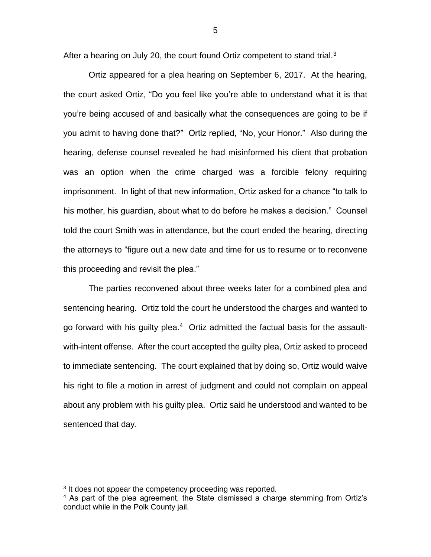After a hearing on July 20, the court found Ortiz competent to stand trial.<sup>3</sup>

Ortiz appeared for a plea hearing on September 6, 2017. At the hearing, the court asked Ortiz, "Do you feel like you're able to understand what it is that you're being accused of and basically what the consequences are going to be if you admit to having done that?" Ortiz replied, "No, your Honor." Also during the hearing, defense counsel revealed he had misinformed his client that probation was an option when the crime charged was a forcible felony requiring imprisonment. In light of that new information, Ortiz asked for a chance "to talk to his mother, his guardian, about what to do before he makes a decision." Counsel told the court Smith was in attendance, but the court ended the hearing, directing the attorneys to "figure out a new date and time for us to resume or to reconvene this proceeding and revisit the plea."

The parties reconvened about three weeks later for a combined plea and sentencing hearing. Ortiz told the court he understood the charges and wanted to go forward with his guilty plea.<sup>4</sup> Ortiz admitted the factual basis for the assaultwith-intent offense. After the court accepted the guilty plea, Ortiz asked to proceed to immediate sentencing. The court explained that by doing so, Ortiz would waive his right to file a motion in arrest of judgment and could not complain on appeal about any problem with his guilty plea. Ortiz said he understood and wanted to be sentenced that day.

 $3$  It does not appear the competency proceeding was reported.

<sup>&</sup>lt;sup>4</sup> As part of the plea agreement, the State dismissed a charge stemming from Ortiz's conduct while in the Polk County jail.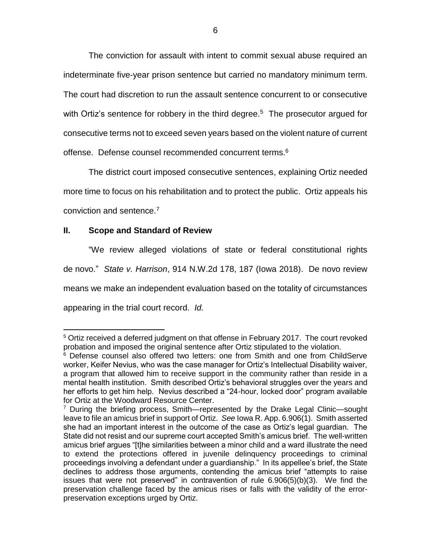The conviction for assault with intent to commit sexual abuse required an indeterminate five-year prison sentence but carried no mandatory minimum term. The court had discretion to run the assault sentence concurrent to or consecutive with Ortiz's sentence for robbery in the third degree.<sup>5</sup> The prosecutor argued for consecutive terms not to exceed seven years based on the violent nature of current offense. Defense counsel recommended concurrent terms.<sup>6</sup>

The district court imposed consecutive sentences, explaining Ortiz needed more time to focus on his rehabilitation and to protect the public. Ortiz appeals his conviction and sentence.<sup>7</sup>

# **II. Scope and Standard of Review**

 $\overline{a}$ 

"We review alleged violations of state or federal constitutional rights de novo." *State v. Harrison*, 914 N.W.2d 178, 187 (Iowa 2018). De novo review means we make an independent evaluation based on the totality of circumstances appearing in the trial court record. *Id.*

<sup>&</sup>lt;sup>5</sup> Ortiz received a deferred judgment on that offense in February 2017. The court revoked probation and imposed the original sentence after Ortiz stipulated to the violation.

<sup>&</sup>lt;sup>6</sup> Defense counsel also offered two letters: one from Smith and one from ChildServe worker, Keifer Nevius, who was the case manager for Ortiz's Intellectual Disability waiver, a program that allowed him to receive support in the community rather than reside in a mental health institution. Smith described Ortiz's behavioral struggles over the years and her efforts to get him help. Nevius described a "24-hour, locked door" program available for Ortiz at the Woodward Resource Center.

 $7$  During the briefing process, Smith—represented by the Drake Legal Clinic—sought leave to file an amicus brief in support of Ortiz. *See* Iowa R. App. 6.906(1). Smith asserted she had an important interest in the outcome of the case as Ortiz's legal guardian. The State did not resist and our supreme court accepted Smith's amicus brief. The well-written amicus brief argues "[t]he similarities between a minor child and a ward illustrate the need to extend the protections offered in juvenile delinquency proceedings to criminal proceedings involving a defendant under a guardianship." In its appellee's brief, the State declines to address those arguments, contending the amicus brief "attempts to raise issues that were not preserved" in contravention of rule 6.906(5)(b)(3). We find the preservation challenge faced by the amicus rises or falls with the validity of the errorpreservation exceptions urged by Ortiz.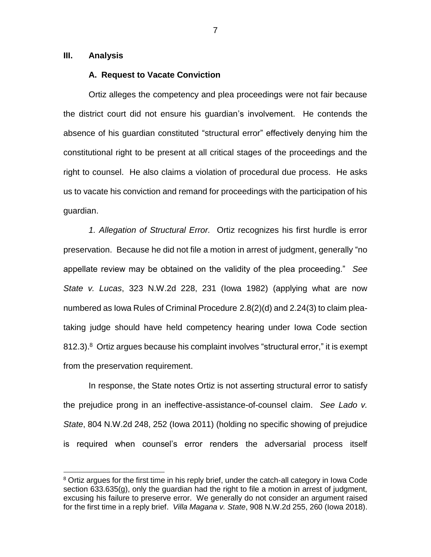# **III. Analysis**

 $\overline{a}$ 

# **A. Request to Vacate Conviction**

Ortiz alleges the competency and plea proceedings were not fair because the district court did not ensure his guardian's involvement. He contends the absence of his guardian constituted "structural error" effectively denying him the constitutional right to be present at all critical stages of the proceedings and the right to counsel. He also claims a violation of procedural due process. He asks us to vacate his conviction and remand for proceedings with the participation of his guardian.

*1. Allegation of Structural Error.* Ortiz recognizes his first hurdle is error preservation. Because he did not file a motion in arrest of judgment, generally "no appellate review may be obtained on the validity of the plea proceeding." *See State v. Lucas*, 323 N.W.2d 228, 231 (Iowa 1982) (applying what are now numbered as Iowa Rules of Criminal Procedure 2.8(2)(d) and 2.24(3) to claim pleataking judge should have held competency hearing under Iowa Code section 812.3). $8$  Ortiz argues because his complaint involves "structural error," it is exempt from the preservation requirement.

In response, the State notes Ortiz is not asserting structural error to satisfy the prejudice prong in an ineffective-assistance-of-counsel claim. *See Lado v. State*, 804 N.W.2d 248, 252 (Iowa 2011) (holding no specific showing of prejudice is required when counsel's error renders the adversarial process itself

<sup>&</sup>lt;sup>8</sup> Ortiz argues for the first time in his reply brief, under the catch-all category in Iowa Code section 633.635(g), only the guardian had the right to file a motion in arrest of judgment, excusing his failure to preserve error. We generally do not consider an argument raised for the first time in a reply brief. *Villa Magana v. State*, 908 N.W.2d 255, 260 (Iowa 2018).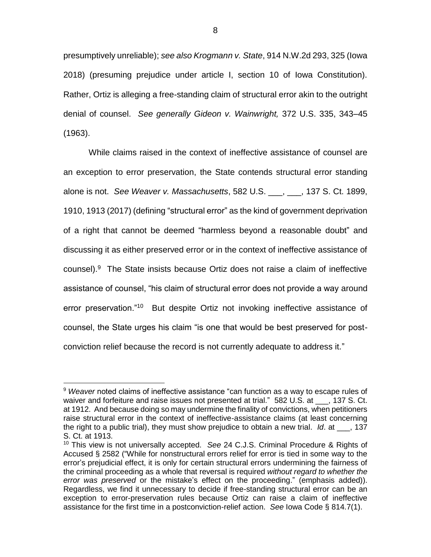presumptively unreliable); *see also Krogmann v. State*, 914 N.W.2d 293, 325 (Iowa 2018) (presuming prejudice under article I, section 10 of Iowa Constitution). Rather, Ortiz is alleging a free-standing claim of structural error akin to the outright denial of counsel. *See generally Gideon v. Wainwright,* 372 U.S. 335, 343–45 (1963).

While claims raised in the context of ineffective assistance of counsel are an exception to error preservation, the State contends structural error standing alone is not. *See Weaver v. Massachusetts*, 582 U.S. \_\_\_, \_\_\_, 137 S. Ct. 1899, 1910, 1913 (2017) (defining "structural error" as the kind of government deprivation of a right that cannot be deemed "harmless beyond a reasonable doubt" and discussing it as either preserved error or in the context of ineffective assistance of counsel). <sup>9</sup> The State insists because Ortiz does not raise a claim of ineffective assistance of counsel, "his claim of structural error does not provide a way around error preservation."<sup>10</sup> But despite Ortiz not invoking ineffective assistance of counsel, the State urges his claim "is one that would be best preserved for postconviction relief because the record is not currently adequate to address it."

<sup>9</sup> *Weaver* noted claims of ineffective assistance "can function as a way to escape rules of waiver and forfeiture and raise issues not presented at trial." 582 U.S. at \_\_\_, 137 S. Ct. at 1912. And because doing so may undermine the finality of convictions, when petitioners raise structural error in the context of ineffective-assistance claims (at least concerning the right to a public trial), they must show prejudice to obtain a new trial. *Id*. at \_\_\_, 137 S. Ct. at 1913.

<sup>10</sup> This view is not universally accepted. *See* 24 C.J.S. Criminal Procedure & Rights of Accused § 2582 ("While for nonstructural errors relief for error is tied in some way to the error's prejudicial effect, it is only for certain structural errors undermining the fairness of the criminal proceeding as a whole that reversal is required *without regard to whether the error was preserved* or the mistake's effect on the proceeding." (emphasis added)). Regardless, we find it unnecessary to decide if free-standing structural error can be an exception to error-preservation rules because Ortiz can raise a claim of ineffective assistance for the first time in a postconviction-relief action. *See* Iowa Code § 814.7(1).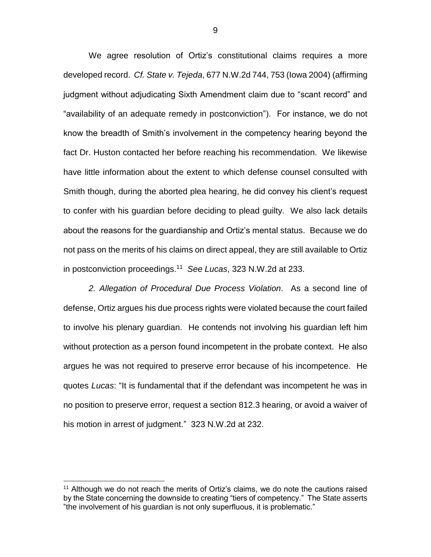We agree resolution of Ortiz's constitutional claims requires a more developed record. *Cf. State v. Tejeda*, 677 N.W.2d 744, 753 (Iowa 2004) (affirming judgment without adjudicating Sixth Amendment claim due to "scant record" and "availability of an adequate remedy in postconviction"). For instance, we do not know the breadth of Smith's involvement in the competency hearing beyond the fact Dr. Huston contacted her before reaching his recommendation. We likewise have little information about the extent to which defense counsel consulted with Smith though, during the aborted plea hearing, he did convey his client's request to confer with his guardian before deciding to plead guilty. We also lack details about the reasons for the guardianship and Ortiz's mental status. Because we do not pass on the merits of his claims on direct appeal, they are still available to Ortiz in postconviction proceedings.<sup>11</sup> *See Lucas*, 323 N.W.2d at 233.

*2. Allegation of Procedural Due Process Violation*. As a second line of defense, Ortiz argues his due process rights were violated because the court failed to involve his plenary guardian. He contends not involving his guardian left him without protection as a person found incompetent in the probate context. He also argues he was not required to preserve error because of his incompetence. He quotes *Lucas*: "It is fundamental that if the defendant was incompetent he was in no position to preserve error, request a section 812.3 hearing, or avoid a waiver of his motion in arrest of judgment." 323 N.W.2d at 232.

 $11$  Although we do not reach the merits of Ortiz's claims, we do note the cautions raised by the State concerning the downside to creating "tiers of competency." The State asserts "the involvement of his guardian is not only superfluous, it is problematic."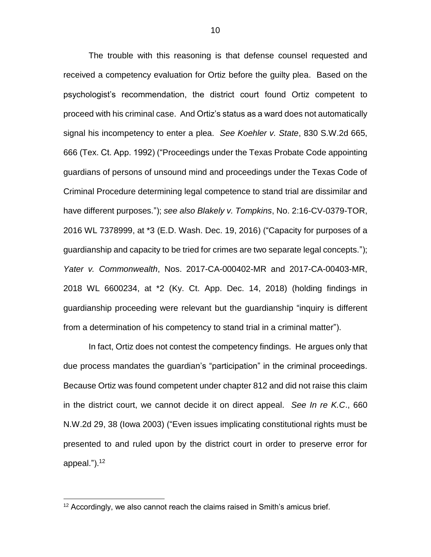The trouble with this reasoning is that defense counsel requested and received a competency evaluation for Ortiz before the guilty plea. Based on the psychologist's recommendation, the district court found Ortiz competent to proceed with his criminal case. And Ortiz's status as a ward does not automatically signal his incompetency to enter a plea. *See Koehler v. State*, 830 S.W.2d 665, 666 (Tex. Ct. App. 1992) ("Proceedings under the Texas Probate Code appointing guardians of persons of unsound mind and proceedings under the Texas Code of Criminal Procedure determining legal competence to stand trial are dissimilar and have different purposes."); *see also Blakely v. Tompkins*, No. 2:16-CV-0379-TOR, 2016 WL 7378999, at \*3 (E.D. Wash. Dec. 19, 2016) ("Capacity for purposes of a guardianship and capacity to be tried for crimes are two separate legal concepts."); *Yater v. Commonwealth*, Nos. 2017-CA-000402-MR and 2017-CA-00403-MR, 2018 WL 6600234, at \*2 (Ky. Ct. App. Dec. 14, 2018) (holding findings in guardianship proceeding were relevant but the guardianship "inquiry is different from a determination of his competency to stand trial in a criminal matter").

In fact, Ortiz does not contest the competency findings. He argues only that due process mandates the guardian's "participation" in the criminal proceedings. Because Ortiz was found competent under chapter 812 and did not raise this claim in the district court, we cannot decide it on direct appeal. *See In re K.C*., 660 N.W.2d 29, 38 (Iowa 2003) ("Even issues implicating constitutional rights must be presented to and ruled upon by the district court in order to preserve error for appeal." $)$ .<sup>12</sup>

 $12$  Accordingly, we also cannot reach the claims raised in Smith's amicus brief.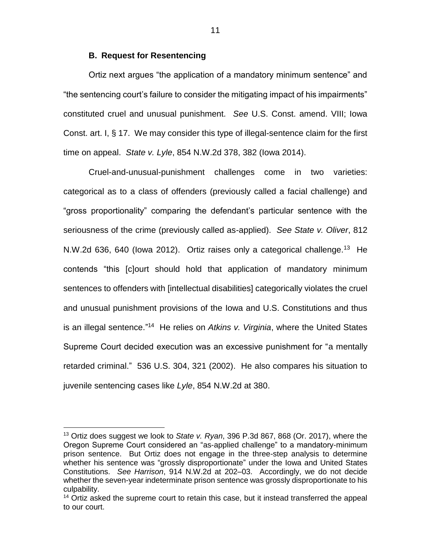#### **B. Request for Resentencing**

 $\overline{a}$ 

Ortiz next argues "the application of a mandatory minimum sentence" and "the sentencing court's failure to consider the mitigating impact of his impairments" constituted cruel and unusual punishment. *See* U.S. Const. amend. VIII; Iowa Const. art. I, § 17. We may consider this type of illegal-sentence claim for the first time on appeal. *State v. Lyle*, 854 N.W.2d 378, 382 (Iowa 2014).

Cruel-and-unusual-punishment challenges come in two varieties: categorical as to a class of offenders (previously called a facial challenge) and "gross proportionality" comparing the defendant's particular sentence with the seriousness of the crime (previously called as-applied). *See State v. Oliver*, 812 N.W.2d 636, 640 (lowa 2012). Ortiz raises only a categorical challenge.<sup>13</sup> He contends "this [c]ourt should hold that application of mandatory minimum sentences to offenders with [intellectual disabilities] categorically violates the cruel and unusual punishment provisions of the Iowa and U.S. Constitutions and thus is an illegal sentence."<sup>14</sup> He relies on Atkins v. Virginia, where the United States Supreme Court decided execution was an excessive punishment for "a mentally retarded criminal." 536 U.S. 304, 321 (2002). He also compares his situation to juvenile sentencing cases like *Lyle*, 854 N.W.2d at 380.

<sup>13</sup> Ortiz does suggest we look to *State v. Ryan*, 396 P.3d 867, 868 (Or. 2017), where the Oregon Supreme Court considered an "as-applied challenge" to a mandatory-minimum prison sentence. But Ortiz does not engage in the three-step analysis to determine whether his sentence was "grossly disproportionate" under the Iowa and United States Constitutions. *See Harrison*, 914 N.W.2d at 202–03. Accordingly, we do not decide whether the seven-year indeterminate prison sentence was grossly disproportionate to his culpability.

<sup>&</sup>lt;sup>14</sup> Ortiz asked the supreme court to retain this case, but it instead transferred the appeal to our court.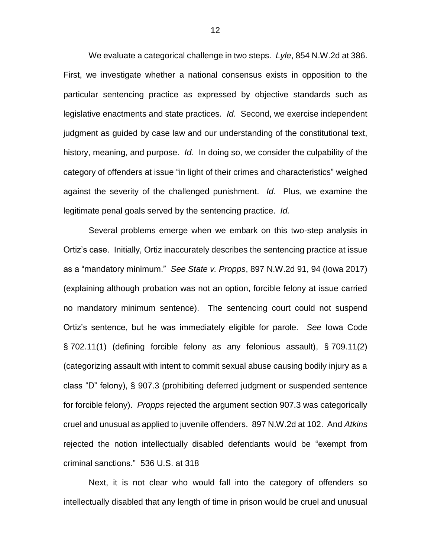We evaluate a categorical challenge in two steps. *Lyle*, 854 N.W.2d at 386. First, we investigate whether a national consensus exists in opposition to the particular sentencing practice as expressed by objective standards such as legislative enactments and state practices. *Id*. Second, we exercise independent judgment as guided by case law and our understanding of the constitutional text, history, meaning, and purpose. *Id*. In doing so, we consider the culpability of the category of offenders at issue "in light of their crimes and characteristics" weighed against the severity of the challenged punishment. *Id.* Plus, we examine the legitimate penal goals served by the sentencing practice. *Id.*

Several problems emerge when we embark on this two-step analysis in Ortiz's case. Initially, Ortiz inaccurately describes the sentencing practice at issue as a "mandatory minimum." *See State v. Propps*, 897 N.W.2d 91, 94 (Iowa 2017) (explaining although probation was not an option, forcible felony at issue carried no mandatory minimum sentence). The sentencing court could not suspend Ortiz's sentence, but he was immediately eligible for parole. *See* Iowa Code § 702.11(1) (defining forcible felony as any felonious assault), § 709.11(2) (categorizing assault with intent to commit sexual abuse causing bodily injury as a class "D" felony), § 907.3 (prohibiting deferred judgment or suspended sentence for forcible felony). *Propps* rejected the argument section 907.3 was categorically cruel and unusual as applied to juvenile offenders. 897 N.W.2d at 102. And *Atkins* rejected the notion intellectually disabled defendants would be "exempt from criminal sanctions." 536 U.S. at 318

Next, it is not clear who would fall into the category of offenders so intellectually disabled that any length of time in prison would be cruel and unusual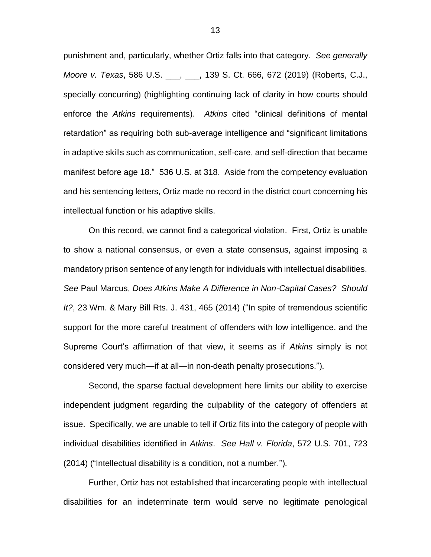punishment and, particularly, whether Ortiz falls into that category. *See generally Moore v. Texas*, 586 U.S. \_\_\_, \_\_\_, 139 S. Ct. 666, 672 (2019) (Roberts, C.J., specially concurring) (highlighting continuing lack of clarity in how courts should enforce the *Atkins* requirements). *Atkins* cited "clinical definitions of mental retardation" as requiring both sub-average intelligence and "significant limitations in adaptive skills such as communication, self-care, and self-direction that became manifest before age 18." 536 U.S. at 318. Aside from the competency evaluation and his sentencing letters, Ortiz made no record in the district court concerning his intellectual function or his adaptive skills.

On this record, we cannot find a categorical violation. First, Ortiz is unable to show a national consensus, or even a state consensus, against imposing a mandatory prison sentence of any length for individuals with intellectual disabilities. *See* Paul Marcus, *Does Atkins Make A Difference in Non-Capital Cases? Should It?*, 23 Wm. & Mary Bill Rts. J. 431, 465 (2014) ("In spite of tremendous scientific support for the more careful treatment of offenders with low intelligence, and the Supreme Court's affirmation of that view, it seems as if *Atkins* simply is not considered very much—if at all—in non-death penalty prosecutions.").

Second, the sparse factual development here limits our ability to exercise independent judgment regarding the culpability of the category of offenders at issue. Specifically, we are unable to tell if Ortiz fits into the category of people with individual disabilities identified in *Atkins*. *See Hall v. Florida*, 572 U.S. 701, 723 (2014) ("Intellectual disability is a condition, not a number.").

Further, Ortiz has not established that incarcerating people with intellectual disabilities for an indeterminate term would serve no legitimate penological